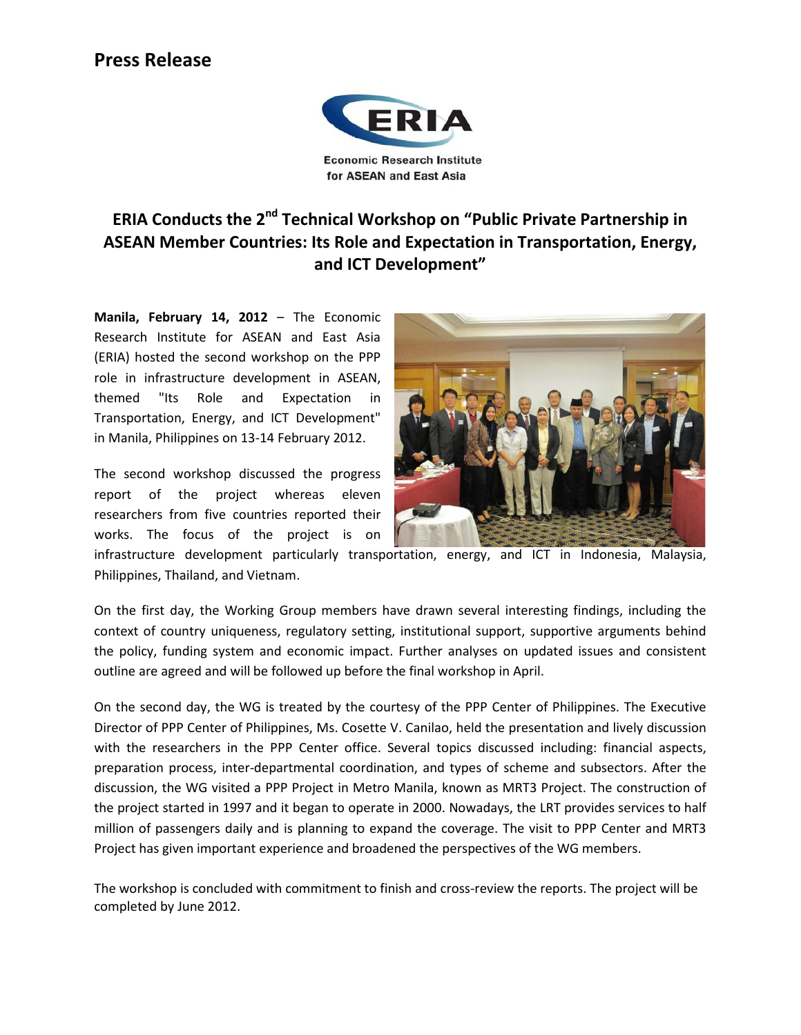## **Press Release**



## **ERIA Conducts the 2nd Technical Workshop on "Public Private Partnership in ASEAN Member Countries: Its Role and Expectation in Transportation, Energy, and ICT Development"**

**Manila, February 14, 2012** – The Economic Research Institute for ASEAN and East Asia (ERIA) hosted the second workshop on the PPP role in infrastructure development in ASEAN, themed "Its Role and Expectation in Transportation, Energy, and ICT Development" in Manila, Philippines on 13-14 February 2012.

The second workshop discussed the progress report of the project whereas eleven researchers from five countries reported their works. The focus of the project is on



infrastructure development particularly transportation, energy, and ICT in Indonesia, Malaysia, Philippines, Thailand, and Vietnam.

On the first day, the Working Group members have drawn several interesting findings, including the context of country uniqueness, regulatory setting, institutional support, supportive arguments behind the policy, funding system and economic impact. Further analyses on updated issues and consistent outline are agreed and will be followed up before the final workshop in April.

On the second day, the WG is treated by the courtesy of the PPP Center of Philippines. The Executive Director of PPP Center of Philippines, Ms. Cosette V. Canilao, held the presentation and lively discussion with the researchers in the PPP Center office. Several topics discussed including: financial aspects, preparation process, inter-departmental coordination, and types of scheme and subsectors. After the discussion, the WG visited a PPP Project in Metro Manila, known as MRT3 Project. The construction of the project started in 1997 and it began to operate in 2000. Nowadays, the LRT provides services to half million of passengers daily and is planning to expand the coverage. The visit to PPP Center and MRT3 Project has given important experience and broadened the perspectives of the WG members.

The workshop is concluded with commitment to finish and cross-review the reports. The project will be completed by June 2012.